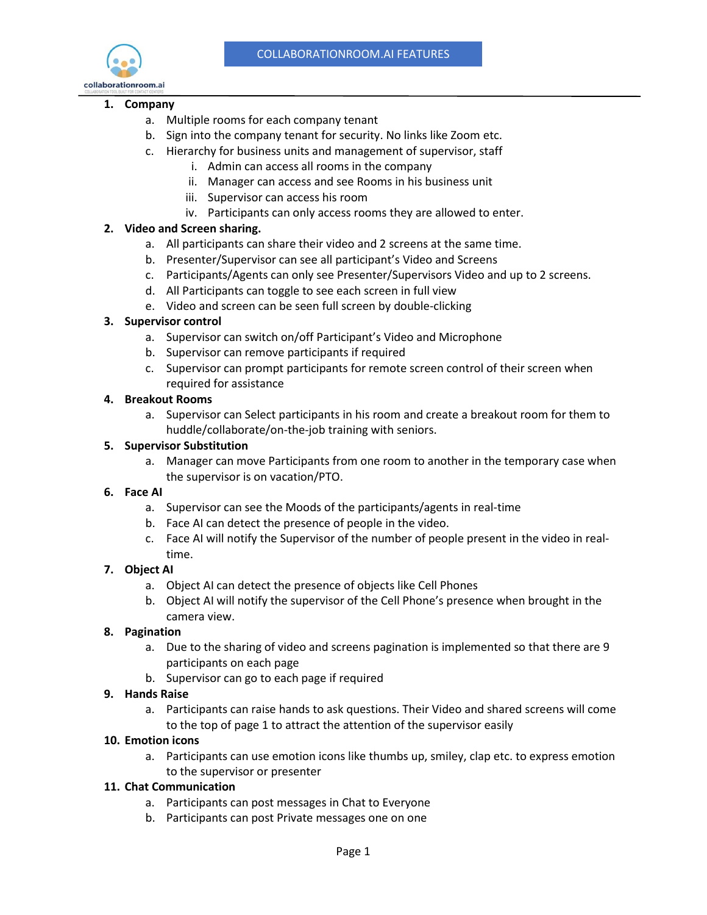

#### **1. Company**

- a. Multiple rooms for each company tenant
- b. Sign into the company tenant for security. No links like Zoom etc.
- c. Hierarchy for business units and management of supervisor, staff
	- i. Admin can access all rooms in the company
	- ii. Manager can access and see Rooms in his business unit
	- iii. Supervisor can access his room
	- iv. Participants can only access rooms they are allowed to enter.

# **2. Video and Screen sharing.**

- a. All participants can share their video and 2 screens at the same time.
- b. Presenter/Supervisor can see all participant's Video and Screens
- c. Participants/Agents can only see Presenter/Supervisors Video and up to 2 screens.
- d. All Participants can toggle to see each screen in full view
- e. Video and screen can be seen full screen by double-clicking

# **3. Supervisor control**

- a. Supervisor can switch on/off Participant's Video and Microphone
- b. Supervisor can remove participants if required
- c. Supervisor can prompt participants for remote screen control of their screen when required for assistance

### **4. Breakout Rooms**

a. Supervisor can Select participants in his room and create a breakout room for them to huddle/collaborate/on-the-job training with seniors.

# **5. Supervisor Substitution**

a. Manager can move Participants from one room to another in the temporary case when the supervisor is on vacation/PTO.

### **6. Face AI**

- a. Supervisor can see the Moods of the participants/agents in real-time
- b. Face AI can detect the presence of people in the video.
- c. Face AI will notify the Supervisor of the number of people present in the video in realtime.

# **7. Object AI**

- a. Object AI can detect the presence of objects like Cell Phones
- b. Object AI will notify the supervisor of the Cell Phone's presence when brought in the camera view.

### **8. Pagination**

- a. Due to the sharing of video and screens pagination is implemented so that there are 9 participants on each page
- b. Supervisor can go to each page if required

### **9. Hands Raise**

a. Participants can raise hands to ask questions. Their Video and shared screens will come to the top of page 1 to attract the attention of the supervisor easily

### **10. Emotion icons**

a. Participants can use emotion icons like thumbs up, smiley, clap etc. to express emotion to the supervisor or presenter

### **11. Chat Communication**

- a. Participants can post messages in Chat to Everyone
- b. Participants can post Private messages one on one